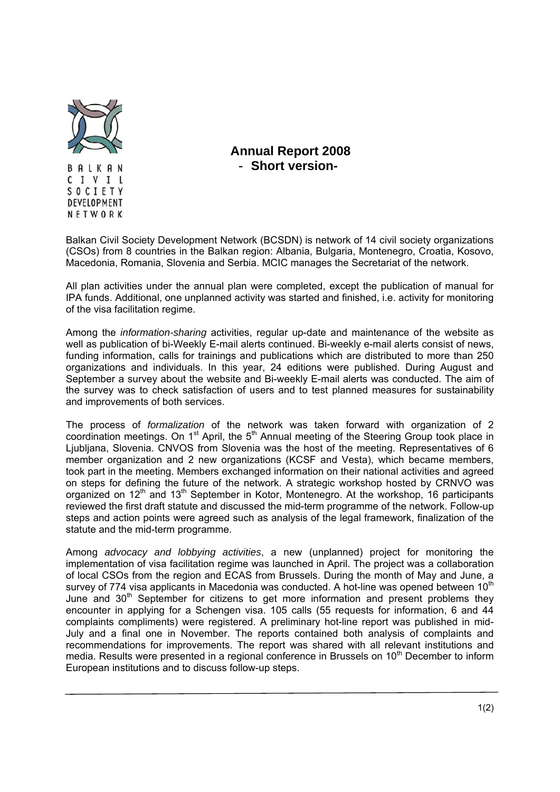

**Annual Report 2008**  - **Short version-**

Balkan Civil Society Development Network (BCSDN) is network of 14 civil society organizations (CSOs) from 8 countries in the Balkan region: Albania, Bulgaria, Montenegro, Croatia, Kosovo, Macedonia, Romania, Slovenia and Serbia. MCIC manages the Secretariat of the network.

All plan activities under the annual plan were completed, except the publication of manual for IPA funds. Additional, one unplanned activity was started and finished, i.e. activity for monitoring of the visa facilitation regime.

Among the *information-sharing* activities, regular up-date and maintenance of the website as well as publication of bi-Weekly E-mail alerts continued. Bi-weekly e-mail alerts consist of news, funding information, calls for trainings and publications which are distributed to more than 250 organizations and individuals. In this year, 24 editions were published. During August and September a survey about the website and Bi-weekly E-mail alerts was conducted. The aim of the survey was to check satisfaction of users and to test planned measures for sustainability and improvements of both services.

Тhe process of *formalization* of the network was taken forward with organization of 2 coordination meetings. On 1<sup>st</sup> April, the 5<sup>th</sup> Annual meeting of the Steering Group took place in Ljubljana, Slovenia. CNVOS from Slovenia was the host of the meeting. Representatives of 6 member organization and 2 new organizations (KCSF and Vesta), which became members, took part in the meeting. Members exchanged information on their national activities and agreed on steps for defining the future of the network. A strategic workshop hosted by CRNVO was organized on  $12<sup>th</sup>$  and  $13<sup>th</sup>$  September in Kotor, Montenegro. At the workshop, 16 participants reviewed the first draft statute and discussed the mid-term programme of the network. Follow-up steps and action points were agreed such as analysis of the legal framework, finalization of the statute and the mid-term programme.

Among *advocacy and lobbying activities*, a new (unplanned) project for monitoring the implementation of visa facilitation regime was launched in April. The project was a collaboration of local CSOs from the region and ECAS from Brussels. During the month of May and June, a survey of 774 visa applicants in Macedonia was conducted. A hot-line was opened between 10<sup>th</sup> June and  $30<sup>th</sup>$  September for citizens to get more information and present problems they encounter in applying for a Schengen visa. 105 calls (55 requests for information, 6 and 44 complaints compliments) were registered. A preliminary hot-line report was published in mid-July and a final one in November. The reports contained both analysis of complaints and recommendations for improvements. The report was shared with all relevant institutions and media. Results were presented in a regional conference in Brussels on 10<sup>th</sup> December to inform European institutions and to discuss follow-up steps.